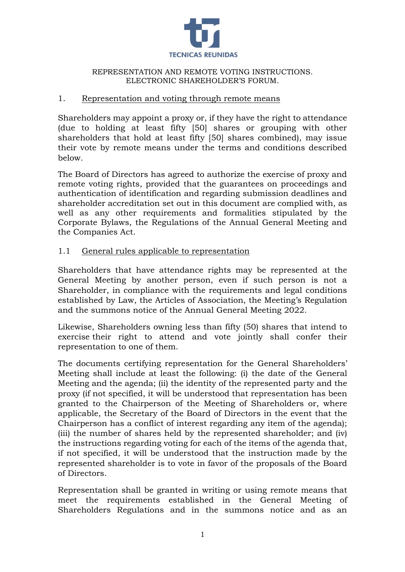

#### REPRESENTATION AND REMOTE VOTING INSTRUCTIONS. ELECTRONIC SHAREHOLDER'S FORUM.

### 1. Representation and voting through remote means

Shareholders may appoint a proxy or, if they have the right to attendance (due to holding at least fifty [50] shares or grouping with other shareholders that hold at least fifty [50] shares combined), may issue their vote by remote means under the terms and conditions described below.

The Board of Directors has agreed to authorize the exercise of proxy and remote voting rights, provided that the guarantees on proceedings and authentication of identification and regarding submission deadlines and shareholder accreditation set out in this document are complied with, as well as any other requirements and formalities stipulated by the Corporate Bylaws, the Regulations of the Annual General Meeting and the Companies Act.

### 1.1 General rules applicable to representation

Shareholders that have attendance rights may be represented at the General Meeting by another person, even if such person is not a Shareholder, in compliance with the requirements and legal conditions established by Law, the Articles of Association, the Meeting's Regulation and the summons notice of the Annual General Meeting 2022.

Likewise, Shareholders owning less than fifty (50) shares that intend to exercise their right to attend and vote jointly shall confer their representation to one of them.

The documents certifying representation for the General Shareholders' Meeting shall include at least the following: (i) the date of the General Meeting and the agenda; (ii) the identity of the represented party and the proxy (if not specified, it will be understood that representation has been granted to the Chairperson of the Meeting of Shareholders or, where applicable, the Secretary of the Board of Directors in the event that the Chairperson has a conflict of interest regarding any item of the agenda); (iii) the number of shares held by the represented shareholder; and (iv) the instructions regarding voting for each of the items of the agenda that, if not specified, it will be understood that the instruction made by the represented shareholder is to vote in favor of the proposals of the Board of Directors.

Representation shall be granted in writing or using remote means that meet the requirements established in the General Meeting of Shareholders Regulations and in the summons notice and as an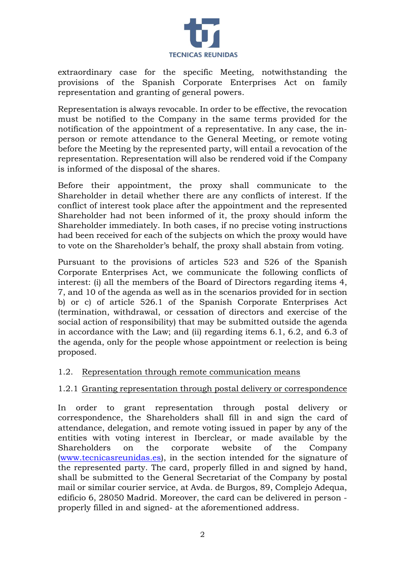

extraordinary case for the specific Meeting, notwithstanding the provisions of the Spanish Corporate Enterprises Act on family representation and granting of general powers.

Representation is always revocable. In order to be effective, the revocation must be notified to the Company in the same terms provided for the notification of the appointment of a representative. In any case, the inperson or remote attendance to the General Meeting, or remote voting before the Meeting by the represented party, will entail a revocation of the representation. Representation will also be rendered void if the Company is informed of the disposal of the shares.

Before their appointment, the proxy shall communicate to the Shareholder in detail whether there are any conflicts of interest. If the conflict of interest took place after the appointment and the represented Shareholder had not been informed of it, the proxy should inform the Shareholder immediately. In both cases, if no precise voting instructions had been received for each of the subjects on which the proxy would have to vote on the Shareholder's behalf, the proxy shall abstain from voting.

Pursuant to the provisions of articles 523 and 526 of the Spanish Corporate Enterprises Act, we communicate the following conflicts of interest: (i) all the members of the Board of Directors regarding items 4, 7, and 10 of the agenda as well as in the scenarios provided for in section b) or c) of article 526.1 of the Spanish Corporate Enterprises Act (termination, withdrawal, or cessation of directors and exercise of the social action of responsibility) that may be submitted outside the agenda in accordance with the Law; and (ii) regarding items 6.1, 6.2, and 6.3 of the agenda, only for the people whose appointment or reelection is being proposed.

# 1.2. Representation through remote communication means

# 1.2.1 Granting representation through postal delivery or correspondence

In order to grant representation through postal delivery or correspondence, the Shareholders shall fill in and sign the card of attendance, delegation, and remote voting issued in paper by any of the entities with voting interest in Iberclear, or made available by the Shareholders on the corporate website of the Company [\(www.tecnicasreunidas.es\),](http://www.tecnicasreunidas.es/) in the section intended for the signature of the represented party. The card, properly filled in and signed by hand, shall be submitted to the General Secretariat of the Company by postal mail or similar courier service, at Avda. de Burgos, 89, Complejo Adequa, edificio 6, 28050 Madrid. Moreover, the card can be delivered in person properly filled in and signed- at the aforementioned address.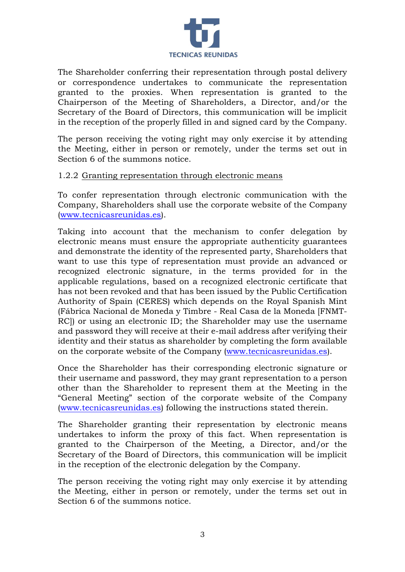

The Shareholder conferring their representation through postal delivery or correspondence undertakes to communicate the representation granted to the proxies. When representation is granted to the Chairperson of the Meeting of Shareholders, a Director, and/or the Secretary of the Board of Directors, this communication will be implicit in the reception of the properly filled in and signed card by the Company.

The person receiving the voting right may only exercise it by attending the Meeting, either in person or remotely, under the terms set out in Section 6 of the summons notice.

### 1.2.2 Granting representation through electronic means

To confer representation through electronic communication with the Company, Shareholders shall use the corporate website of the Company [\(www.tecnicasreunidas.es\).](http://www.tecnicasreunidas.es/)

Taking into account that the mechanism to confer delegation by electronic means must ensure the appropriate authenticity guarantees and demonstrate the identity of the represented party, Shareholders that want to use this type of representation must provide an advanced or recognized electronic signature, in the terms provided for in the applicable regulations, based on a recognized electronic certificate that has not been revoked and that has been issued by the Public Certification Authority of Spain (CERES) which depends on the Royal Spanish Mint (Fábrica Nacional de Moneda y Timbre - Real Casa de la Moneda [FNMT-RC]) or using an electronic ID; the Shareholder may use the username and password they will receive at their e-mail address after verifying their identity and their status as shareholder by completing the form available on the corporate website of the Company [\(www.tecnicasreunidas.es\).](http://www.tecnicasreunidas.es/)

Once the Shareholder has their corresponding electronic signature or their username and password, they may grant representation to a person other than the Shareholder to represent them at the Meeting in the "General Meeting" section of the corporate website of the Company [\(www.tecnicasreunidas.es\)](http://www.tecnicasreunidas.es/) following the instructions stated therein.

The Shareholder granting their representation by electronic means undertakes to inform the proxy of this fact. When representation is granted to the Chairperson of the Meeting, a Director, and/or the Secretary of the Board of Directors, this communication will be implicit in the reception of the electronic delegation by the Company.

The person receiving the voting right may only exercise it by attending the Meeting, either in person or remotely, under the terms set out in Section 6 of the summons notice.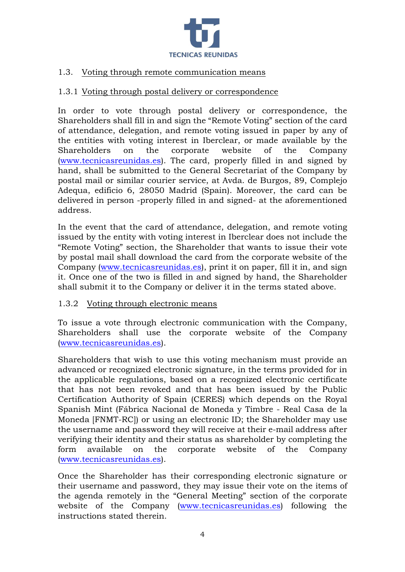

### 1.3. Voting through remote communication means

#### 1.3.1 Voting through postal delivery or correspondence

In order to vote through postal delivery or correspondence, the Shareholders shall fill in and sign the "Remote Voting" section of the card of attendance, delegation, and remote voting issued in paper by any of the entities with voting interest in Iberclear, or made available by the Shareholders on the corporate website of the Company [\(www.tecnicasreunidas.es\).](http://www.tecnicasreunidas.es/) The card, properly filled in and signed by hand, shall be submitted to the General Secretariat of the Company by postal mail or similar courier service, at Avda. de Burgos, 89, Complejo Adequa, edificio 6, 28050 Madrid (Spain). Moreover, the card can be delivered in person -properly filled in and signed- at the aforementioned address.

In the event that the card of attendance, delegation, and remote voting issued by the entity with voting interest in Iberclear does not include the "Remote Voting" section, the Shareholder that wants to issue their vote by postal mail shall download the card from the corporate website of the Company [\(www.tecnicasreunidas.es\),](http://www.tecnicasreunidas.es/) print it on paper, fill it in, and sign it. Once one of the two is filled in and signed by hand, the Shareholder shall submit it to the Company or deliver it in the terms stated above.

### 1.3.2 Voting through electronic means

To issue a vote through electronic communication with the Company, Shareholders shall use the corporate website of the Company [\(www.tecnicasreunidas.es\).](http://www.tecnicasreunidas.es/)

Shareholders that wish to use this voting mechanism must provide an advanced or recognized electronic signature, in the terms provided for in the applicable regulations, based on a recognized electronic certificate that has not been revoked and that has been issued by the Public Certification Authority of Spain (CERES) which depends on the Royal Spanish Mint (Fábrica Nacional de Moneda y Timbre - Real Casa de la Moneda [FNMT-RC]) or using an electronic ID; the Shareholder may use the username and password they will receive at their e-mail address after verifying their identity and their status as shareholder by completing the form available on the corporate website of the Company [\(www.tecnicasreunidas.es\).](http://www.tecnicasreunidas.es/)

Once the Shareholder has their corresponding electronic signature or their username and password, they may issue their vote on the items of the agenda remotely in the "General Meeting" section of the corporate website of the Company [\(www.tecnicasreunidas.es\)](http://www.tecnicasreunidas.es/) following the instructions stated therein.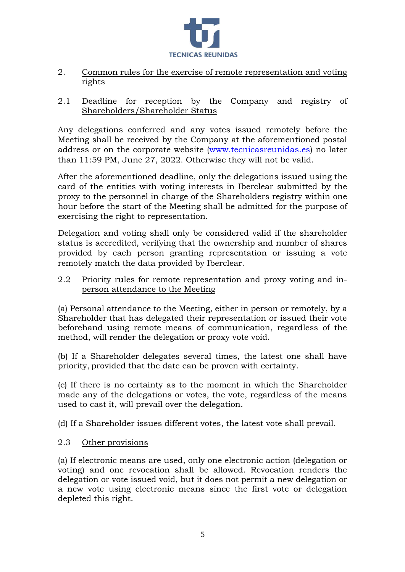

# 2. Common rules for the exercise of remote representation and voting rights

### 2.1 Deadline for reception by the Company and registry of Shareholders/Shareholder Status

Any delegations conferred and any votes issued remotely before the Meeting shall be received by the Company at the aforementioned postal address or on the corporate website [\(www.tecnicasreunidas.es\)](http://www.tecnicasreunidas.es/) no later than 11:59 PM, June 27, 2022. Otherwise they will not be valid.

After the aforementioned deadline, only the delegations issued using the card of the entities with voting interests in Iberclear submitted by the proxy to the personnel in charge of the Shareholders registry within one hour before the start of the Meeting shall be admitted for the purpose of exercising the right to representation.

Delegation and voting shall only be considered valid if the shareholder status is accredited, verifying that the ownership and number of shares provided by each person granting representation or issuing a vote remotely match the data provided by Iberclear.

### 2.2 Priority rules for remote representation and proxy voting and inperson attendance to the Meeting

(a) Personal attendance to the Meeting, either in person or remotely, by a Shareholder that has delegated their representation or issued their vote beforehand using remote means of communication, regardless of the method, will render the delegation or proxy vote void.

(b) If a Shareholder delegates several times, the latest one shall have priority, provided that the date can be proven with certainty.

(c) If there is no certainty as to the moment in which the Shareholder made any of the delegations or votes, the vote, regardless of the means used to cast it, will prevail over the delegation.

(d) If a Shareholder issues different votes, the latest vote shall prevail.

# 2.3 Other provisions

(a) If electronic means are used, only one electronic action (delegation or voting) and one revocation shall be allowed. Revocation renders the delegation or vote issued void, but it does not permit a new delegation or a new vote using electronic means since the first vote or delegation depleted this right.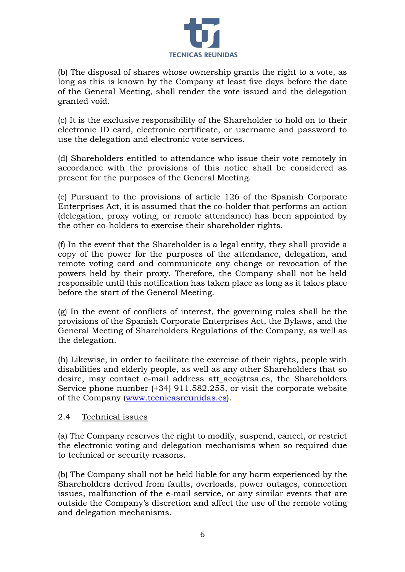

(b) The disposal of shares whose ownership grants the right to a vote, as long as this is known by the Company at least five days before the date of the General Meeting, shall render the vote issued and the delegation granted void.

(c) It is the exclusive responsibility of the Shareholder to hold on to their electronic ID card, electronic certificate, or username and password to use the delegation and electronic vote services.

(d) Shareholders entitled to attendance who issue their vote remotely in accordance with the provisions of this notice shall be considered as present for the purposes of the General Meeting.

(e) Pursuant to the provisions of article 126 of the Spanish Corporate Enterprises Act, it is assumed that the co-holder that performs an action (delegation, proxy voting, or remote attendance) has been appointed by the other co-holders to exercise their shareholder rights.

(f) In the event that the Shareholder is a legal entity, they shall provide a copy of the power for the purposes of the attendance, delegation, and remote voting card and communicate any change or revocation of the powers held by their proxy. Therefore, the Company shall not be held responsible until this notification has taken place as long as it takes place before the start of the General Meeting.

(g) In the event of conflicts of interest, the governing rules shall be the provisions of the Spanish Corporate Enterprises Act, the Bylaws, and the General Meeting of Shareholders Regulations of the Company, as well as the delegation.

(h) Likewise, in order to facilitate the exercise of their rights, people with disabilities and elderly people, as well as any other Shareholders that so desire, may contact e-mail address att acc@trsa.es, the Shareholders Service phone number (+34) 911.582.255, or visit the corporate website of the Company [\(www.tecnicasreunidas.es\)](http://www.tecnicasreunidas.es/).

### 2.4 Technical issues

(a) The Company reserves the right to modify, suspend, cancel, or restrict the electronic voting and delegation mechanisms when so required due to technical or security reasons.

(b) The Company shall not be held liable for any harm experienced by the Shareholders derived from faults, overloads, power outages, connection issues, malfunction of the e-mail service, or any similar events that are outside the Company's discretion and affect the use of the remote voting and delegation mechanisms.